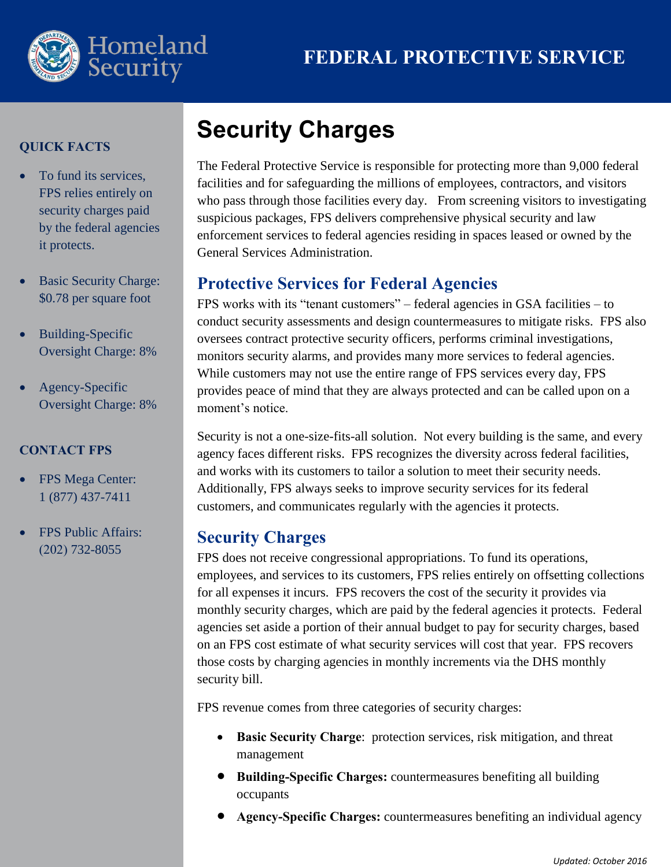

#### **QUICK FACTS**

- To fund its services, FPS relies entirely on security charges paid by the federal agencies it protects.
- Basic Security Charge: \$0.78 per square foot
- Building-Specific Oversight Charge: 8%
- Agency-Specific Oversight Charge: 8%

#### **CONTACT FPS**

- FPS Mega Center: 1 (877) 437-7411
- FPS Public Affairs: (202) 732-8055

# **Security Charges**

The Federal Protective Service is responsible for protecting more than 9,000 federal facilities and for safeguarding the millions of employees, contractors, and visitors who pass through those facilities every day. From screening visitors to investigating suspicious packages, FPS delivers comprehensive physical security and law enforcement services to federal agencies residing in spaces leased or owned by the General Services Administration.

## **Protective Services for Federal Agencies**

FPS works with its "tenant customers" – federal agencies in GSA facilities – to conduct security assessments and design countermeasures to mitigate risks. FPS also oversees contract protective security officers, performs criminal investigations, monitors security alarms, and provides many more services to federal agencies. While customers may not use the entire range of FPS services every day, FPS provides peace of mind that they are always protected and can be called upon on a moment's notice.

Security is not a one-size-fits-all solution. Not every building is the same, and every agency faces different risks. FPS recognizes the diversity across federal facilities, and works with its customers to tailor a solution to meet their security needs. Additionally, FPS always seeks to improve security services for its federal customers, and communicates regularly with the agencies it protects.

### **Security Charges**

FPS does not receive congressional appropriations. To fund its operations, employees, and services to its customers, FPS relies entirely on offsetting collections for all expenses it incurs. FPS recovers the cost of the security it provides via monthly security charges, which are paid by the federal agencies it protects. Federal agencies set aside a portion of their annual budget to pay for security charges, based on an FPS cost estimate of what security services will cost that year. FPS recovers those costs by charging agencies in monthly increments via the DHS monthly security bill.

FPS revenue comes from three categories of security charges:

- **Basic Security Charge**: protection services, risk mitigation, and threat management
- **Building-Specific Charges:** countermeasures benefiting all building occupants
- **Agency-Specific Charges:** countermeasures benefiting an individual agency